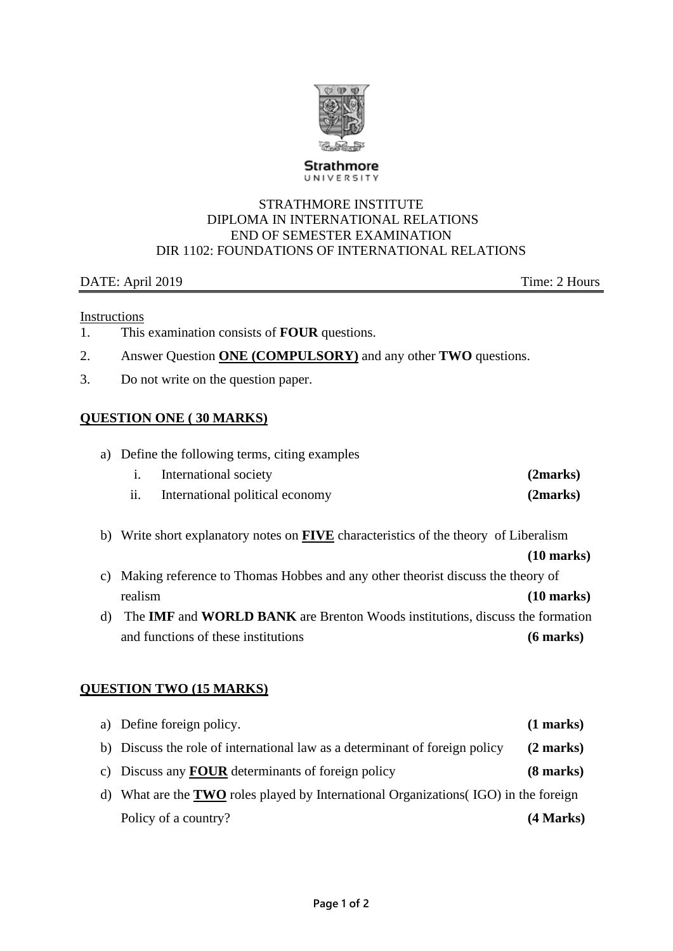

**Strathmore** UNIVERSITY

#### STRATHMORE INSTITUTE DIPLOMA IN INTERNATIONAL RELATIONS END OF SEMESTER EXAMINATION DIR 1102: FOUNDATIONS OF INTERNATIONAL RELATIONS

### DATE: April 2019 Time: 2 Hours

#### Instructions

- 1. This examination consists of **FOUR** questions.
- 2. Answer Question **ONE (COMPULSORY)** and any other **TWO** questions.
- 3. Do not write on the question paper.

### **QUESTION ONE ( 30 MARKS)**

a) Define the following terms, citing examples

|     | International society           | (2marks) |
|-----|---------------------------------|----------|
| ii. | International political economy | (2marks) |

b) Write short explanatory notes on **FIVE** characteristics of the theory of Liberalism

### **(10 marks)**

- c) Making reference to Thomas Hobbes and any other theorist discuss the theory of realism **(10 marks)**
- d) The **IMF** and **WORLD BANK** are Brenton Woods institutions, discuss the formation and functions of these institutions **(6 marks)**

### **QUESTION TWO (15 MARKS)**

| a) Define foreign policy.                                                                   | $(1 \text{ marks})$ |
|---------------------------------------------------------------------------------------------|---------------------|
| b) Discuss the role of international law as a determinant of foreign policy                 | $(2 \text{ marks})$ |
| c) Discuss any <b>FOUR</b> determinants of foreign policy                                   | $(8 \text{ marks})$ |
| d) What are the <b>TWO</b> roles played by International Organizations (IGO) in the foreign |                     |
| Policy of a country?                                                                        | (4 Marks)           |